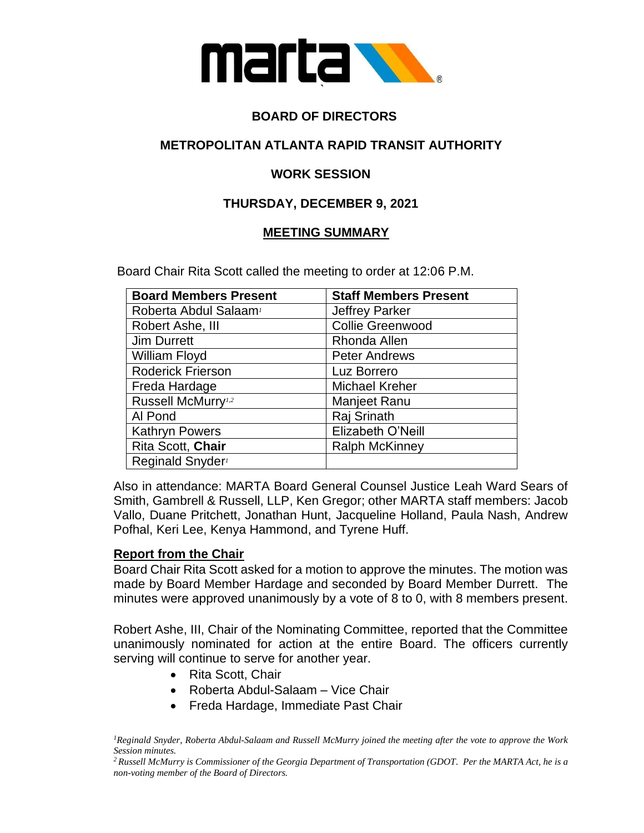

# **BOARD OF DIRECTORS**

# **METROPOLITAN ATLANTA RAPID TRANSIT AUTHORITY**

# **WORK SESSION**

### **THURSDAY, DECEMBER 9, 2021**

### **MEETING SUMMARY**

Board Chair Rita Scott called the meeting to order at 12:06 P.M.

| <b>Board Members Present</b>      | <b>Staff Members Present</b> |
|-----------------------------------|------------------------------|
| Roberta Abdul Salaam <sup>1</sup> | <b>Jeffrey Parker</b>        |
| Robert Ashe, III                  | <b>Collie Greenwood</b>      |
| <b>Jim Durrett</b>                | Rhonda Allen                 |
| William Floyd                     | <b>Peter Andrews</b>         |
| <b>Roderick Frierson</b>          | Luz Borrero                  |
| Freda Hardage                     | <b>Michael Kreher</b>        |
| Russell McMurry <sup>1,2</sup>    | Manjeet Ranu                 |
| Al Pond                           | Raj Srinath                  |
| <b>Kathryn Powers</b>             | Elizabeth O'Neill            |
| Rita Scott, Chair                 | <b>Ralph McKinney</b>        |
| Reginald Snyder <sup>1</sup>      |                              |

Also in attendance: MARTA Board General Counsel Justice Leah Ward Sears of Smith, Gambrell & Russell, LLP, Ken Gregor; other MARTA staff members: Jacob Vallo, Duane Pritchett, Jonathan Hunt, Jacqueline Holland, Paula Nash, Andrew Pofhal, Keri Lee, Kenya Hammond, and Tyrene Huff.

#### **Report from the Chair**

Board Chair Rita Scott asked for a motion to approve the minutes. The motion was made by Board Member Hardage and seconded by Board Member Durrett. The minutes were approved unanimously by a vote of 8 to 0, with 8 members present.

Robert Ashe, III, Chair of the Nominating Committee, reported that the Committee unanimously nominated for action at the entire Board. The officers currently serving will continue to serve for another year.

- Rita Scott, Chair
- Roberta Abdul-Salaam Vice Chair
- Freda Hardage, Immediate Past Chair

*<sup>1</sup>Reginald Snyder, Roberta Abdul-Salaam and Russell McMurry joined the meeting after the vote to approve the Work Session minutes.*

*<sup>2</sup> Russell McMurry is Commissioner of the Georgia Department of Transportation (GDOT. Per the MARTA Act, he is a non-voting member of the Board of Directors.*